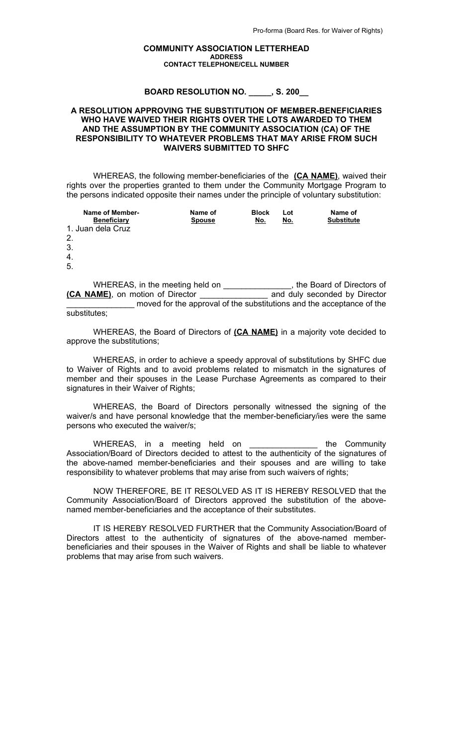## **COMMUNITY ASSOCIATION LETTERHEAD ADDRESS CONTACT TELEPHONE/CELL NUMBER**

**BOARD RESOLUTION NO. \_\_\_\_\_, S. 200\_\_**

## **A RESOLUTION APPROVING THE SUBSTITUTION OF MEMBER-BENEFICIARIES WHO HAVE WAIVED THEIR RIGHTS OVER THE LOTS AWARDED TO THEM AND THE ASSUMPTION BY THE COMMUNITY ASSOCIATION (CA) OF THE RESPONSIBILITY TO WHATEVER PROBLEMS THAT MAY ARISE FROM SUCH WAIVERS SUBMITTED TO SHFC**

WHEREAS, the following member-beneficiaries of the **(CA NAME)**, waived their rights over the properties granted to them under the Community Mortgage Program to the persons indicated opposite their names under the principle of voluntary substitution:

| Name of Member-<br><b>Beneficiary</b> | Name of<br><b>Spouse</b> | <b>Block</b><br>No. | Lot<br>No. | Name of<br><b>Substitute</b> |
|---------------------------------------|--------------------------|---------------------|------------|------------------------------|
| 1. Juan dela Cruz                     |                          |                     |            |                              |
| 2.                                    |                          |                     |            |                              |
| 3.                                    |                          |                     |            |                              |
| 4.                                    |                          |                     |            |                              |
| 5                                     |                          |                     |            |                              |

WHEREAS, in the meeting held on \_\_\_\_\_\_\_\_\_\_\_\_\_\_, the Board of Directors of **(CA NAME)**, on motion of Director \_\_\_\_\_\_\_\_\_\_\_\_\_\_\_ and duly seconded by Director moved for the approval of the substitutions and the acceptance of the substitutes;

WHEREAS, the Board of Directors of **(CA NAME)** in a majority vote decided to approve the substitutions;

WHEREAS, in order to achieve a speedy approval of substitutions by SHFC due to Waiver of Rights and to avoid problems related to mismatch in the signatures of member and their spouses in the Lease Purchase Agreements as compared to their signatures in their Waiver of Rights;

WHEREAS, the Board of Directors personally witnessed the signing of the waiver/s and have personal knowledge that the member-beneficiary/ies were the same persons who executed the waiver/s;

WHEREAS, in a meeting held on the Community Association/Board of Directors decided to attest to the authenticity of the signatures of the above-named member-beneficiaries and their spouses and are willing to take responsibility to whatever problems that may arise from such waivers of rights;

NOW THEREFORE, BE IT RESOLVED AS IT IS HEREBY RESOLVED that the Community Association/Board of Directors approved the substitution of the abovenamed member-beneficiaries and the acceptance of their substitutes.

IT IS HEREBY RESOLVED FURTHER that the Community Association/Board of Directors attest to the authenticity of signatures of the above-named memberbeneficiaries and their spouses in the Waiver of Rights and shall be liable to whatever problems that may arise from such waivers.